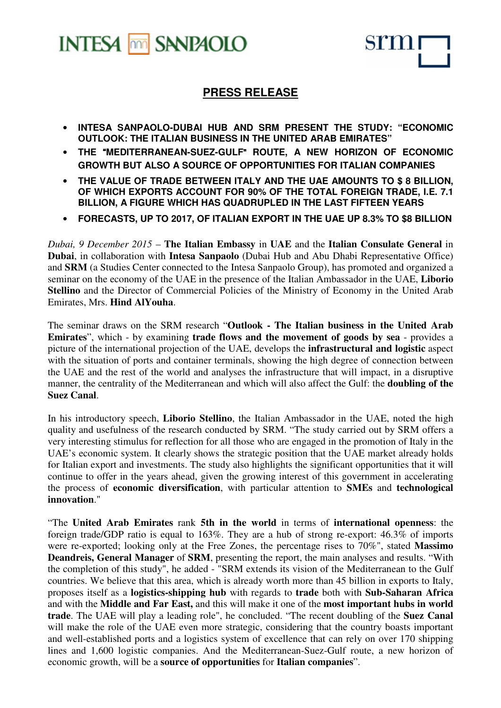



# **PRESS RELEASE**

- **INTESA SANPAOLO-DUBAI HUB AND SRM PRESENT THE STUDY: "ECONOMIC OUTLOOK: THE ITALIAN BUSINESS IN THE UNITED ARAB EMIRATES"**
- **THE** "**MEDITERRANEAN-SUEZ-GULF**" **ROUTE, A NEW HORIZON OF ECONOMIC GROWTH BUT ALSO A SOURCE OF OPPORTUNITIES FOR ITALIAN COMPANIES**
- **THE VALUE OF TRADE BETWEEN ITALY AND THE UAE AMOUNTS TO \$ 8 BILLION, OF WHICH EXPORTS ACCOUNT FOR 90% OF THE TOTAL FOREIGN TRADE, I.E. 7.1 BILLION, A FIGURE WHICH HAS QUADRUPLED IN THE LAST FIFTEEN YEARS**
- **FORECASTS, UP TO 2017, OF ITALIAN EXPORT IN THE UAE UP 8.3% TO \$8 BILLION**

*Dubai, 9 December 2015* – **The Italian Embassy** in **UAE** and the **Italian Consulate General** in **Dubai**, in collaboration with **Intesa Sanpaolo** (Dubai Hub and Abu Dhabi Representative Office) and **SRM** (a Studies Center connected to the Intesa Sanpaolo Group), has promoted and organized a seminar on the economy of the UAE in the presence of the Italian Ambassador in the UAE, **Liborio Stellino** and the Director of Commercial Policies of the Ministry of Economy in the United Arab Emirates, Mrs. **Hind AlYouha**.

The seminar draws on the SRM research "**Outlook - The Italian business in the United Arab Emirates**", which - by examining **trade flows and the movement of goods by sea** - provides a picture of the international projection of the UAE, develops the **infrastructural and logistic** aspect with the situation of ports and container terminals, showing the high degree of connection between the UAE and the rest of the world and analyses the infrastructure that will impact, in a disruptive manner, the centrality of the Mediterranean and which will also affect the Gulf: the **doubling of the Suez Canal**.

In his introductory speech, **Liborio Stellino**, the Italian Ambassador in the UAE, noted the high quality and usefulness of the research conducted by SRM. "The study carried out by SRM offers a very interesting stimulus for reflection for all those who are engaged in the promotion of Italy in the UAE's economic system. It clearly shows the strategic position that the UAE market already holds for Italian export and investments. The study also highlights the significant opportunities that it will continue to offer in the years ahead, given the growing interest of this government in accelerating the process of **economic diversification**, with particular attention to **SMEs** and **technological innovation**."

"The **United Arab Emirates** rank **5th in the world** in terms of **international openness**: the foreign trade/GDP ratio is equal to 163%. They are a hub of strong re-export: 46.3% of imports were re-exported; looking only at the Free Zones, the percentage rises to 70%", stated **Massimo Deandreis, General Manager** of **SRM**, presenting the report, the main analyses and results. "With the completion of this study", he added - "SRM extends its vision of the Mediterranean to the Gulf countries. We believe that this area, which is already worth more than 45 billion in exports to Italy, proposes itself as a **logistics-shipping hub** with regards to **trade** both with **Sub-Saharan Africa** and with the **Middle and Far East,** and this will make it one of the **most important hubs in world trade**. The UAE will play a leading role", he concluded. "The recent doubling of the **Suez Canal** will make the role of the UAE even more strategic, considering that the country boasts important and well-established ports and a logistics system of excellence that can rely on over 170 shipping lines and 1,600 logistic companies. And the Mediterranean-Suez-Gulf route, a new horizon of economic growth, will be a **source of opportunities** for **Italian companies**".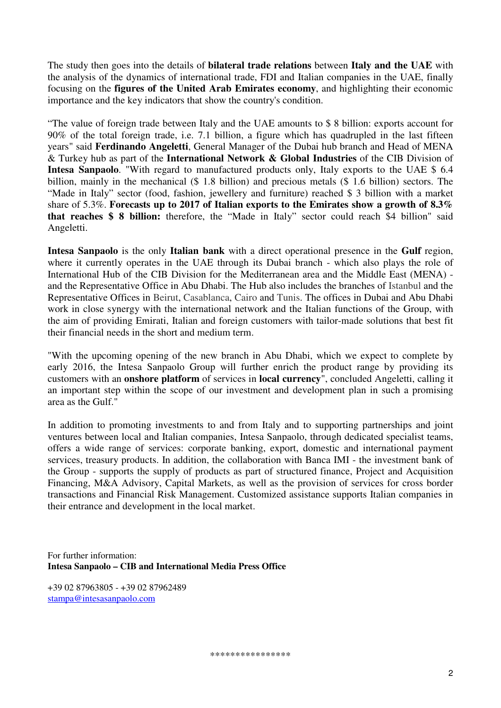The study then goes into the details of **bilateral trade relations** between **Italy and the UAE** with the analysis of the dynamics of international trade, FDI and Italian companies in the UAE, finally focusing on the **figures of the United Arab Emirates economy**, and highlighting their economic importance and the key indicators that show the country's condition.

"The value of foreign trade between Italy and the UAE amounts to \$ 8 billion: exports account for 90% of the total foreign trade, i.e. 7.1 billion, a figure which has quadrupled in the last fifteen years" said **Ferdinando Angeletti**, General Manager of the Dubai hub branch and Head of MENA & Turkey hub as part of the **International Network & Global Industries** of the CIB Division of **Intesa Sanpaolo**. "With regard to manufactured products only, Italy exports to the UAE \$ 6.4 billion, mainly in the mechanical (\$ 1.8 billion) and precious metals (\$ 1.6 billion) sectors. The "Made in Italy" sector (food, fashion, jewellery and furniture) reached \$ 3 billion with a market share of 5.3%. **Forecasts up to 2017 of Italian exports to the Emirates show a growth of 8.3% that reaches \$ 8 billion:** therefore, the "Made in Italy" sector could reach \$4 billion" said Angeletti.

**Intesa Sanpaolo** is the only **Italian bank** with a direct operational presence in the **Gulf** region, where it currently operates in the UAE through its Dubai branch - which also plays the role of International Hub of the CIB Division for the Mediterranean area and the Middle East (MENA) and the Representative Office in Abu Dhabi. The Hub also includes the branches of Istanbul and the Representative Offices in Beirut, Casablanca, Cairo and Tunis. The offices in Dubai and Abu Dhabi work in close synergy with the international network and the Italian functions of the Group, with the aim of providing Emirati, Italian and foreign customers with tailor-made solutions that best fit their financial needs in the short and medium term.

"With the upcoming opening of the new branch in Abu Dhabi, which we expect to complete by early 2016, the Intesa Sanpaolo Group will further enrich the product range by providing its customers with an **onshore platform** of services in **local currency**", concluded Angeletti, calling it an important step within the scope of our investment and development plan in such a promising area as the Gulf."

In addition to promoting investments to and from Italy and to supporting partnerships and joint ventures between local and Italian companies, Intesa Sanpaolo, through dedicated specialist teams, offers a wide range of services: corporate banking, export, domestic and international payment services, treasury products. In addition, the collaboration with Banca IMI - the investment bank of the Group - supports the supply of products as part of structured finance, Project and Acquisition Financing, M&A Advisory, Capital Markets, as well as the provision of services for cross border transactions and Financial Risk Management. Customized assistance supports Italian companies in their entrance and development in the local market.

For further information: **Intesa Sanpaolo – CIB and International Media Press Office** 

+39 02 87963805 - +39 02 87962489 stampa@intesasanpaolo.com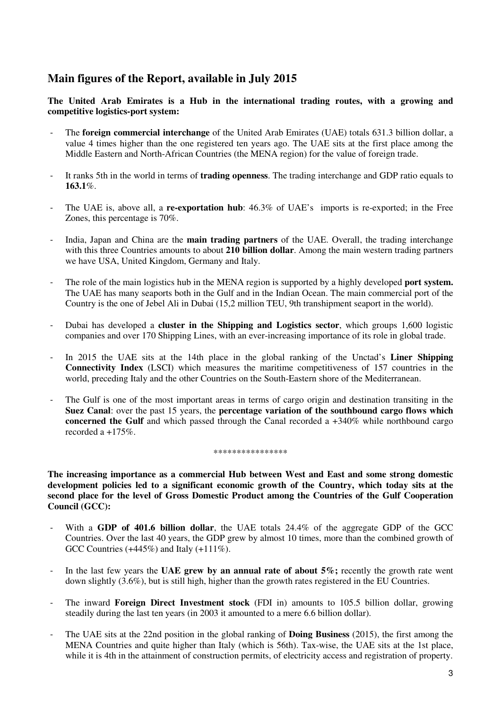## **Main figures of the Report, available in July 2015**

**The United Arab Emirates is a Hub in the international trading routes, with a growing and competitive logistics-port system:** 

- The **foreign commercial interchange** of the United Arab Emirates (UAE) totals 631.3 billion dollar, a value 4 times higher than the one registered ten years ago. The UAE sits at the first place among the Middle Eastern and North-African Countries (the MENA region) for the value of foreign trade.
- It ranks 5th in the world in terms of **trading openness**. The trading interchange and GDP ratio equals to **163.1**%.
- The UAE is, above all, a **re-exportation hub**:  $46.3\%$  of UAE's imports is re-exported; in the Free Zones, this percentage is 70%.
- India, Japan and China are the **main trading partners** of the UAE. Overall, the trading interchange with this three Countries amounts to about **210 billion dollar**. Among the main western trading partners we have USA, United Kingdom, Germany and Italy.
- The role of the main logistics hub in the MENA region is supported by a highly developed **port system.** The UAE has many seaports both in the Gulf and in the Indian Ocean. The main commercial port of the Country is the one of Jebel Ali in Dubai (15,2 million TEU, 9th transhipment seaport in the world).
- Dubai has developed a **cluster in the Shipping and Logistics sector**, which groups 1,600 logistic companies and over 170 Shipping Lines, with an ever-increasing importance of its role in global trade.
- In 2015 the UAE sits at the 14th place in the global ranking of the Unctad's **Liner Shipping Connectivity Index** (LSCI) which measures the maritime competitiveness of 157 countries in the world, preceding Italy and the other Countries on the South-Eastern shore of the Mediterranean.
- The Gulf is one of the most important areas in terms of cargo origin and destination transiting in the **Suez Canal**: over the past 15 years, the **percentage variation of the southbound cargo flows which concerned the Gulf** and which passed through the Canal recorded a +340% while northbound cargo recorded a +175%.

#### \*\*\*\*\*\*\*\*\*\*\*\*\*\*\*\*\*\*\*\*\*\*\*\*\*\*\*\*\*\*\*\*\*\*

**The increasing importance as a commercial Hub between West and East and some strong domestic development policies led to a significant economic growth of the Country, which today sits at the second place for the level of Gross Domestic Product among the Countries of the Gulf Cooperation Council (GCC):** 

- With a GDP of 401.6 billion dollar, the UAE totals 24.4% of the aggregate GDP of the GCC Countries. Over the last 40 years, the GDP grew by almost 10 times, more than the combined growth of GCC Countries (+445%) and Italy (+111%).
- In the last few years the **UAE grew by an annual rate of about 5%;** recently the growth rate went down slightly (3.6%), but is still high, higher than the growth rates registered in the EU Countries.
- The inward **Foreign Direct Investment stock** (FDI in) amounts to 105.5 billion dollar, growing steadily during the last ten years (in 2003 it amounted to a mere 6.6 billion dollar).
- The UAE sits at the 22nd position in the global ranking of **Doing Business** (2015), the first among the MENA Countries and quite higher than Italy (which is 56th). Tax-wise, the UAE sits at the 1st place, while it is 4th in the attainment of construction permits, of electricity access and registration of property.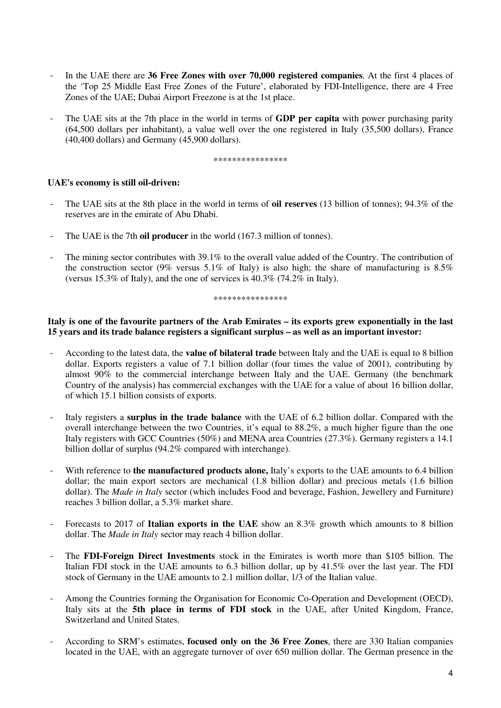- In the UAE there are **36 Free Zones with over 70,000 registered companies**. At the first 4 places of the 'Top 25 Middle East Free Zones of the Future', elaborated by FDI-Intelligence, there are 4 Free Zones of the UAE; Dubai Airport Freezone is at the 1st place.
- The UAE sits at the 7th place in the world in terms of **GDP per capita** with power purchasing parity (64,500 dollars per inhabitant), a value well over the one registered in Italy (35,500 dollars), France (40,400 dollars) and Germany (45,900 dollars).

\*\*\*\*\*\*\*\*\*\*\*\*\*\*\*

### **UAE's economy is still oil-driven:**

- The UAE sits at the 8th place in the world in terms of **oil reserves** (13 billion of tonnes); 94.3% of the reserves are in the emirate of Abu Dhabi.
- The UAE is the 7th **oil producer** in the world (167.3 million of tonnes).
- The mining sector contributes with 39.1% to the overall value added of the Country. The contribution of the construction sector (9% versus 5.1% of Italy) is also high; the share of manufacturing is 8.5% (versus 15.3% of Italy), and the one of services is 40.3% (74.2% in Italy).

\*\*\*\*\*\*\*\*\*\*\*\*\*\*\*\*

## **Italy is one of the favourite partners of the Arab Emirates – its exports grew exponentially in the last 15 years and its trade balance registers a significant surplus – as well as an important investor:**

- According to the latest data, the **value of bilateral trade** between Italy and the UAE is equal to 8 billion dollar. Exports registers a value of 7.1 billion dollar (four times the value of 2001), contributing by almost 90% to the commercial interchange between Italy and the UAE. Germany (the benchmark Country of the analysis) has commercial exchanges with the UAE for a value of about 16 billion dollar, of which 15.1 billion consists of exports.
- Italy registers a **surplus in the trade balance** with the UAE of 6.2 billion dollar. Compared with the overall interchange between the two Countries, it's equal to 88.2%, a much higher figure than the one Italy registers with GCC Countries (50%) and MENA area Countries (27.3%). Germany registers a 14.1 billion dollar of surplus (94.2% compared with interchange).
- With reference to **the manufactured products alone,** Italy's exports to the UAE amounts to 6.4 billion dollar; the main export sectors are mechanical (1.8 billion dollar) and precious metals (1.6 billion dollar). The *Made in Italy* sector (which includes Food and beverage, Fashion, Jewellery and Furniture) reaches 3 billion dollar, a 5.3% market share.
- Forecasts to 2017 of **Italian exports in the UAE** show an 8.3% growth which amounts to 8 billion dollar. The *Made in Italy* sector may reach 4 billion dollar.
- The **FDI-Foreign Direct Investments** stock in the Emirates is worth more than \$105 billion. The Italian FDI stock in the UAE amounts to 6.3 billion dollar, up by 41.5% over the last year. The FDI stock of Germany in the UAE amounts to 2.1 million dollar, 1/3 of the Italian value.
- Among the Countries forming the Organisation for Economic Co-Operation and Development (OECD), Italy sits at the **5th place in terms of FDI stock** in the UAE, after United Kingdom, France, Switzerland and United States.
- According to SRM's estimates, **focused only on the 36 Free Zones**, there are 330 Italian companies located in the UAE, with an aggregate turnover of over 650 million dollar. The German presence in the